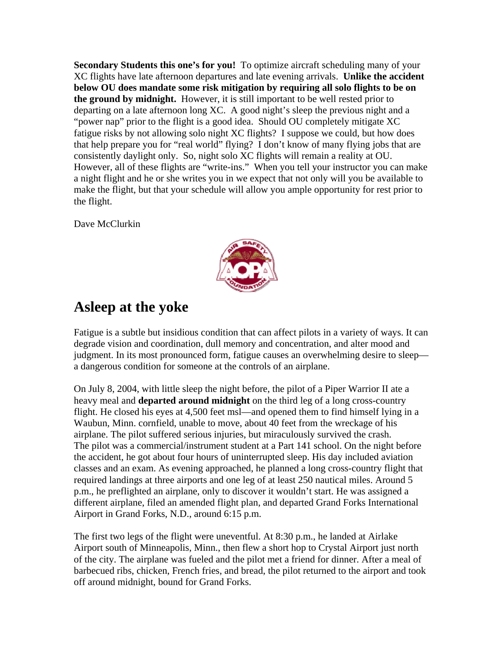**Secondary Students this one's for you!** To optimize aircraft scheduling many of your XC flights have late afternoon departures and late evening arrivals. **Unlike the accident below OU does mandate some risk mitigation by requiring all solo flights to be on the ground by midnight.** However, it is still important to be well rested prior to departing on a late afternoon long XC. A good night's sleep the previous night and a "power nap" prior to the flight is a good idea. Should OU completely mitigate XC fatigue risks by not allowing solo night XC flights? I suppose we could, but how does that help prepare you for "real world" flying? I don't know of many flying jobs that are consistently daylight only. So, night solo XC flights will remain a reality at OU. However, all of these flights are "write-ins." When you tell your instructor you can make a night flight and he or she writes you in we expect that not only will you be available to make the flight, but that your schedule will allow you ample opportunity for rest prior to the flight.

Dave McClurkin



## **Asleep at the yoke**

Fatigue is a subtle but insidious condition that can affect pilots in a variety of ways. It can degrade vision and coordination, dull memory and concentration, and alter mood and judgment. In its most pronounced form, fatigue causes an overwhelming desire to sleep a dangerous condition for someone at the controls of an airplane.

On July 8, 2004, with little sleep the night before, the pilot of a Piper Warrior II ate a heavy meal and **departed around midnight** on the third leg of a long cross-country flight. He closed his eyes at 4,500 feet msl—and opened them to find himself lying in a Waubun, Minn. cornfield, unable to move, about 40 feet from the wreckage of his airplane. The pilot suffered serious injuries, but miraculously survived the crash. The pilot was a commercial/instrument student at a Part 141 school. On the night before the accident, he got about four hours of uninterrupted sleep. His day included aviation classes and an exam. As evening approached, he planned a long cross-country flight that required landings at three airports and one leg of at least 250 nautical miles. Around 5 p.m., he preflighted an airplane, only to discover it wouldn't start. He was assigned a different airplane, filed an amended flight plan, and departed Grand Forks International Airport in Grand Forks, N.D., around 6:15 p.m.

The first two legs of the flight were uneventful. At 8:30 p.m., he landed at Airlake Airport south of Minneapolis, Minn., then flew a short hop to Crystal Airport just north of the city. The airplane was fueled and the pilot met a friend for dinner. After a meal of barbecued ribs, chicken, French fries, and bread, the pilot returned to the airport and took off around midnight, bound for Grand Forks.